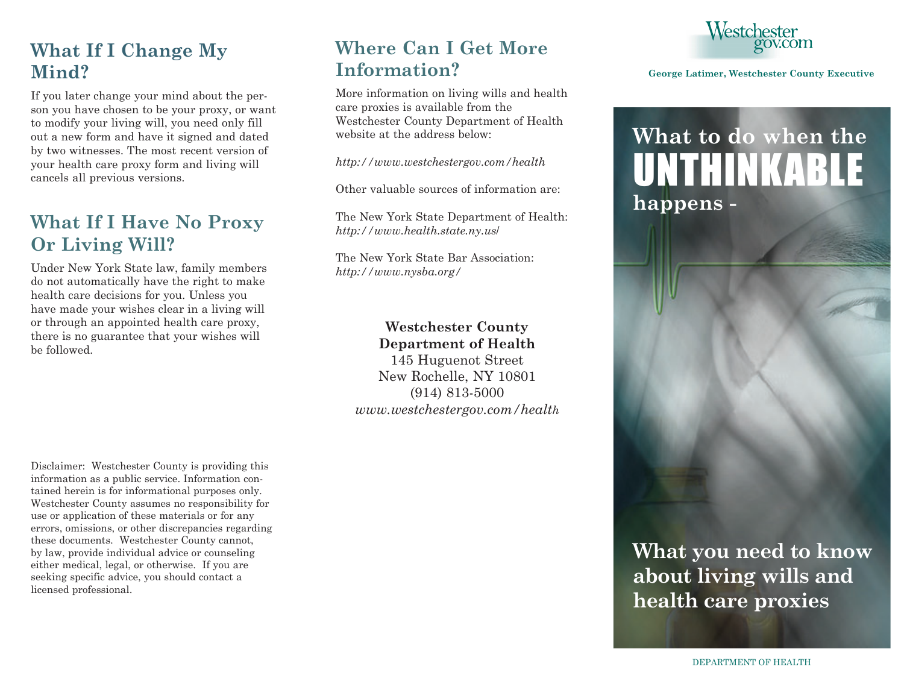#### **What If I Change My Mind?**

If you later change your mind about the person you have chosen to be your proxy, or want to modify your living will, you need only fill out a new form and have it signed and dated by two witnesses. The most recent version of your health care proxy form and living will cancels all previous versions.

#### **What If I Have No Proxy Or Living Will?**

Under New York State law, family members do not automatically have the right to make health care decisions for you. Unless you have made your wishes clear in a living will or through an appointed health care proxy, there is no guarantee that your wishes will be followed.

Disclaimer: Westchester County is providing this information as a public service. Information contained herein is for informational purposes only. Westchester County assumes no responsibility for use or application of these materials or for any errors, omissions, or other discrepancies regarding these documents. Westchester County cannot, by law, provide individual advice or counseling either medical, legal, or otherwise. If you are seeking specific advice, you should contact a licensed professional.

#### **Where Can I Get More Information?**

More information on living wills and health care proxies is available from the Westchester County Department of Health website at the address below:

*http://www.westchestergov.com/health*

Other valuable sources of information are:

The New York State Department of Health: *http://www.health.state.ny.us*/

The New York State Bar Association: *http://www.nysba.org/*

#### **Westchester County Department of Health**

145 Huguenot Street New Rochelle, NY 10801 (914) 813-5000 *www.westchestergov.com/health*



#### **George Latimer, Westchester County Executive**

## **What to do when the** UNTHINKABL **happens -**



### **What you need to know about living wills and health care proxies**